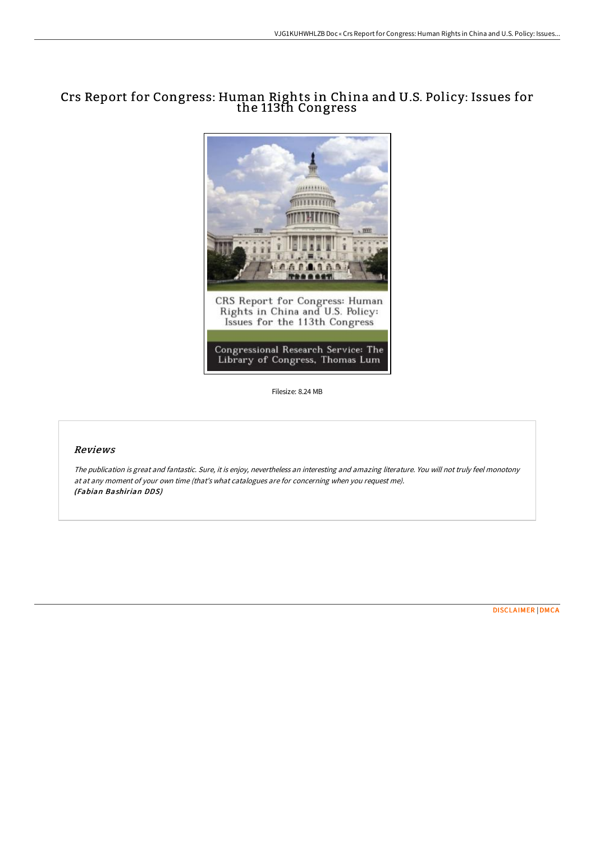# Crs Report for Congress: Human Rights in China and U.S. Policy: Issues for the 113th Congress



Filesize: 8.24 MB

### Reviews

The publication is great and fantastic. Sure, it is enjoy, nevertheless an interesting and amazing literature. You will not truly feel monotony at at any moment of your own time (that's what catalogues are for concerning when you request me). (Fabian Bashirian DDS)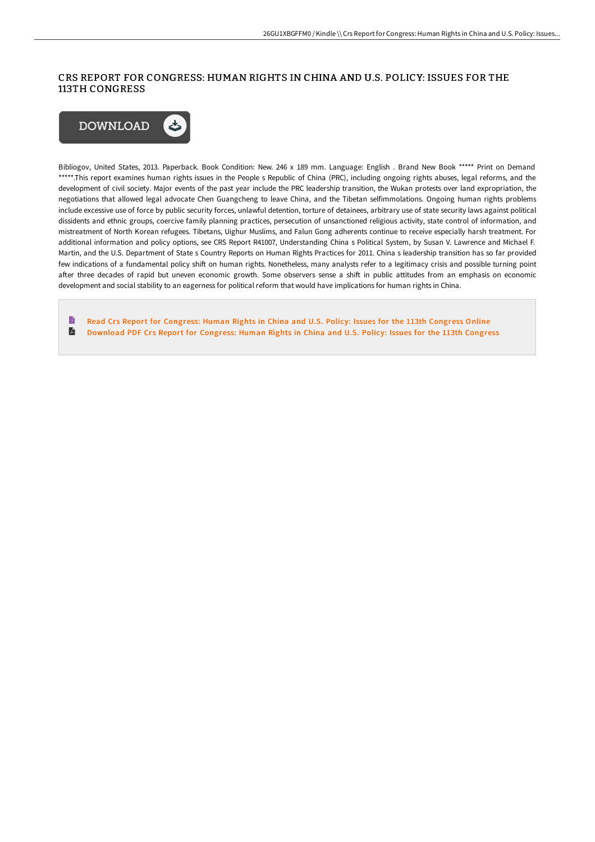## CRS REPORT FOR CONGRESS: HUMAN RIGHTS IN CHINA AND U.S. POLICY: ISSUES FOR THE 113TH CONGRESS



Bibliogov, United States, 2013. Paperback. Book Condition: New. 246 x 189 mm. Language: English . Brand New Book \*\*\*\*\* Print on Demand \*\*\*\*\*.This report examines human rights issues in the People s Republic of China (PRC), including ongoing rights abuses, legal reforms, and the development of civil society. Major events of the past year include the PRC leadership transition, the Wukan protests over land expropriation, the negotiations that allowed legal advocate Chen Guangcheng to leave China, and the Tibetan selfimmolations. Ongoing human rights problems include excessive use of force by public security forces, unlawful detention, torture of detainees, arbitrary use of state security laws against political dissidents and ethnic groups, coercive family planning practices, persecution of unsanctioned religious activity, state control of information, and mistreatment of North Korean refugees. Tibetans, Uighur Muslims, and Falun Gong adherents continue to receive especially harsh treatment. For additional information and policy options, see CRS Report R41007, Understanding China s Political System, by Susan V. Lawrence and Michael F. Martin, and the U.S. Department of State s Country Reports on Human Rights Practices for 2011. China s leadership transition has so far provided few indications of a fundamental policy shift on human rights. Nonetheless, many analysts refer to a legitimacy crisis and possible turning point after three decades of rapid but uneven economic growth. Some observers sense a shift in public attitudes from an emphasis on economic development and social stability to an eagerness for political reform that would have implications for human rights in China.

B Read Crs Report for [Congress:](http://albedo.media/crs-report-for-congress-human-rights-in-china-an.html) Human Rights in China and U.S. Policy: Issues for the 113th Congress Online  $\blacksquare$ [Download](http://albedo.media/crs-report-for-congress-human-rights-in-china-an.html) PDF Crs Report for Congress: Human Rights in China and U.S. Policy: Issues for the 113th Congress